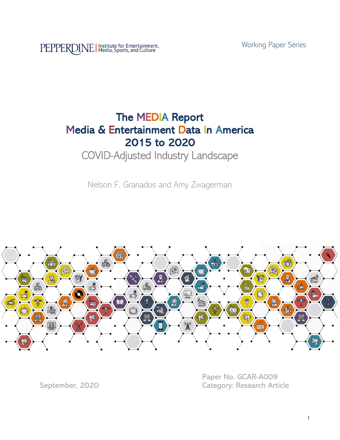Working Paper Series

PEPPERDINE | Institute for Entertainment,

# The MEDIA Report Media & Entertainment Data In America 2015 to 2020

## COVID-Adjusted Industry Landscape

Nelson F. Granados and Amy Zwagerman



Paper No. GCAR-A009 September, 2020 Category: Research Article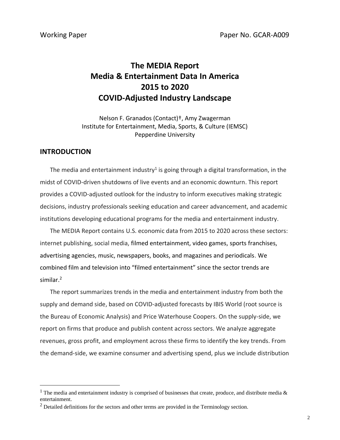## **The MEDIA Report Media & Entertainment Data In America 2015 to 2020 COVID-Adjusted Industry Landscape**

Nelson F. Granados (Contact)†, Amy Zwagerman Institute for Entertainment, Media, Sports, & Culture (IEMSC) Pepperdine University

#### **INTRODUCTION**

The media and entertainment industry<sup>1</sup> is going through a digital transformation, in the midst of COVID-driven shutdowns of live events and an economic downturn. This report provides a COVID-adjusted outlook for the industry to inform executives making strategic decisions, industry professionals seeking education and career advancement, and academic institutions developing educational programs for the media and entertainment industry.

The MEDIA Report contains U.S. economic data from 2015 to 2020 across these sectors: internet publishing, social media, filmed entertainment, video games, sports franchises, advertising agencies, music, newspapers, books, and magazines and periodicals. We combined film and television into "filmed entertainment" since the sector trends are similar. $2$ 

The report summarizes trends in the media and entertainment industry from both the supply and demand side, based on COVID-adjusted forecasts by IBIS World (root source is the Bureau of Economic Analysis) and Price Waterhouse Coopers. On the supply-side, we report on firms that produce and publish content across sectors. We analyze aggregate revenues, gross profit, and employment across these firms to identify the key trends. From the demand-side, we examine consumer and advertising spend, plus we include distribution

<sup>&</sup>lt;sup>1</sup> The media and entertainment industry is comprised of businesses that create, produce, and distribute media  $\&$ entertainment.

 $<sup>2</sup>$  Detailed definitions for the sectors and other terms are provided in the Terminology section.</sup>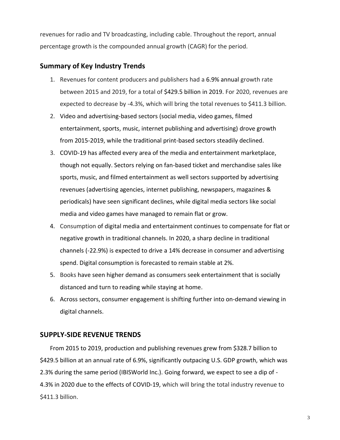revenues for radio and TV broadcasting, including cable. Throughout the report, annual percentage growth is the compounded annual growth (CAGR) for the period.

## **Summary of Key Industry Trends**

- 1. Revenues for content producers and publishers had a 6.9% annual growth rate between 2015 and 2019, for a total of \$429.5 billion in 2019. For 2020, revenues are expected to decrease by -4.3%, which will bring the total revenues to \$411.3 billion.
- 2. Video and advertising-based sectors (social media, video games, filmed entertainment, sports, music, internet publishing and advertising) drove growth from 2015-2019, while the traditional print-based sectors steadily declined.
- 3. COVID-19 has affected every area of the media and entertainment marketplace, though not equally. Sectors relying on fan-based ticket and merchandise sales like sports, music, and filmed entertainment as well sectors supported by advertising revenues (advertising agencies, internet publishing, newspapers, magazines & periodicals) have seen significant declines, while digital media sectors like social media and video games have managed to remain flat or grow.
- 4. Consumption of digital media and entertainment continues to compensate for flat or negative growth in traditional channels. In 2020, a sharp decline in traditional channels (-22.9%) is expected to drive a 14% decrease in consumer and advertising spend. Digital consumption is forecasted to remain stable at 2%.
- 5. Books have seen higher demand as consumers seek entertainment that is socially distanced and turn to reading while staying at home.
- 6. Across sectors, consumer engagement is shifting further into on-demand viewing in digital channels.

## **SUPPLY-SIDE REVENUE TRENDS**

From 2015 to 2019, production and publishing revenues grew from \$328.7 billion to \$429.5 billion at an annual rate of 6.9%, significantly outpacing U.S. GDP growth, which was 2.3% during the same period (IBISWorld Inc.). Going forward, we expect to see a dip of - 4.3% in 2020 due to the effects of COVID-19, which will bring the total industry revenue to \$411.3 billion.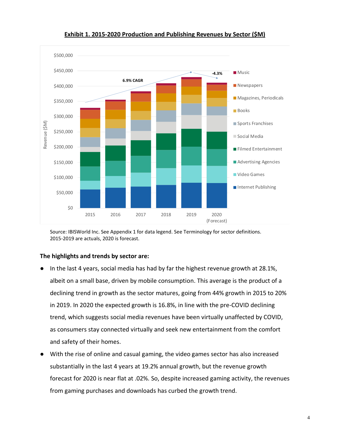

**Exhibit 1. 2015-2020 Production and Publishing Revenues by Sector (\$M)**

 Source: IBISWorld Inc. See Appendix 1 for data legend. See Terminology for sector definitions. 2015-2019 are actuals, 2020 is forecast.

### **The highlights and trends by sector are:**

- In the last 4 years, social media has had by far the highest revenue growth at 28.1%, albeit on a small base, driven by mobile consumption. This average is the product of a declining trend in growth as the sector matures, going from 44% growth in 2015 to 20% in 2019. In 2020 the expected growth is 16.8%, in line with the pre-COVID declining trend, which suggests social media revenues have been virtually unaffected by COVID, as consumers stay connected virtually and seek new entertainment from the comfort and safety of their homes.
- With the rise of online and casual gaming, the video games sector has also increased substantially in the last 4 years at 19.2% annual growth, but the revenue growth forecast for 2020 is near flat at .02%. So, despite increased gaming activity, the revenues from gaming purchases and downloads has curbed the growth trend.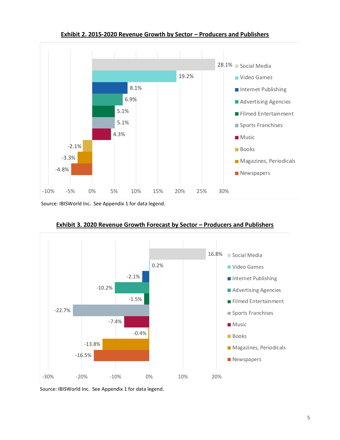

**Exhibit 2. 2015-2020 Revenue Growth by Sector – Producers and Publishers**

Source: IBISWorld Inc. See Appendix 1 for data legend.



**Exhibit 3. 2020 Revenue Growth Forecast by Sector – Producers and Publishers**

Source: IBISWorld Inc. See Appendix 1 for data legend.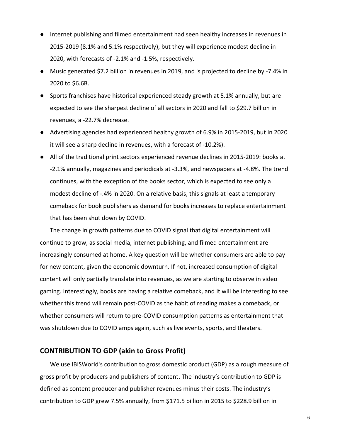- Internet publishing and filmed entertainment had seen healthy increases in revenues in 2015-2019 (8.1% and 5.1% respectively), but they will experience modest decline in 2020, with forecasts of -2.1% and -1.5%, respectively.
- Music generated \$7.2 billion in revenues in 2019, and is projected to decline by -7.4% in 2020 to \$6.6B.
- Sports franchises have historical experienced steady growth at 5.1% annually, but are expected to see the sharpest decline of all sectors in 2020 and fall to \$29.7 billion in revenues, a -22.7% decrease.
- Advertising agencies had experienced healthy growth of 6.9% in 2015-2019, but in 2020 it will see a sharp decline in revenues, with a forecast of -10.2%).
- All of the traditional print sectors experienced revenue declines in 2015-2019: books at -2.1% annually, magazines and periodicals at -3.3%, and newspapers at -4.8%. The trend continues, with the exception of the books sector, which is expected to see only a modest decline of -.4% in 2020. On a relative basis, this signals at least a temporary comeback for book publishers as demand for books increases to replace entertainment that has been shut down by COVID.

The change in growth patterns due to COVID signal that digital entertainment will continue to grow, as social media, internet publishing, and filmed entertainment are increasingly consumed at home. A key question will be whether consumers are able to pay for new content, given the economic downturn. If not, increased consumption of digital content will only partially translate into revenues, as we are starting to observe in video gaming. Interestingly, books are having a relative comeback, and it will be interesting to see whether this trend will remain post-COVID as the habit of reading makes a comeback, or whether consumers will return to pre-COVID consumption patterns as entertainment that was shutdown due to COVID amps again, such as live events, sports, and theaters.

## **CONTRIBUTION TO GDP (akin to Gross Profit)**

We use IBISWorld's contribution to gross domestic product (GDP) as a rough measure of gross profit by producers and publishers of content. The industry's contribution to GDP is defined as content producer and publisher revenues minus their costs. The industry's contribution to GDP grew 7.5% annually, from \$171.5 billion in 2015 to \$228.9 billion in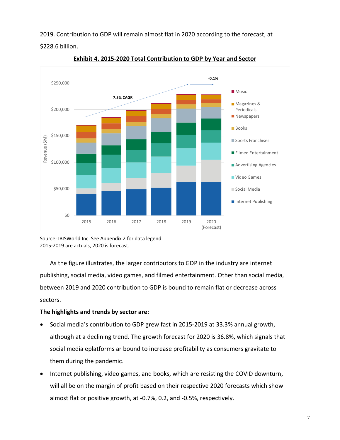2019. Contribution to GDP will remain almost flat in 2020 according to the forecast, at

\$228.6 billion.



**Exhibit 4. 2015-2020 Total Contribution to GDP by Year and Sector** 

Source: IBISWorld Inc. See Appendix 2 for data legend. 2015-2019 are actuals, 2020 is forecast.

As the figure illustrates, the larger contributors to GDP in the industry are internet publishing, social media, video games, and filmed entertainment. Other than social media, between 2019 and 2020 contribution to GDP is bound to remain flat or decrease across sectors.

## **The highlights and trends by sector are:**

- Social media's contribution to GDP grew fast in 2015-2019 at 33.3% annual growth, although at a declining trend. The growth forecast for 2020 is 36.8%, which signals that social media eplatforms ar bound to increase profitability as consumers gravitate to them during the pandemic.
- Internet publishing, video games, and books, which are resisting the COVID downturn, will all be on the margin of profit based on their respective 2020 forecasts which show almost flat or positive growth, at -0.7%, 0.2, and -0.5%, respectively.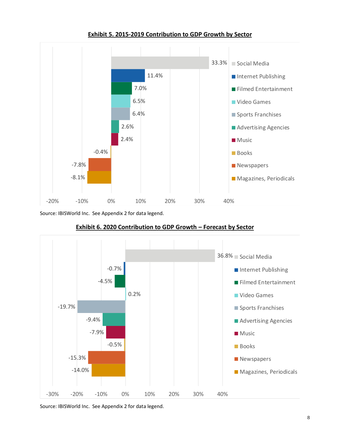

**Exhibit 5. 2015-2019 Contribution to GDP Growth by Sector**

Source: IBISWorld Inc. See Appendix 2 for data legend.



**Exhibit 6. 2020 Contribution to GDP Growth – Forecast by Sector**

Source: IBISWorld Inc. See Appendix 2 for data legend.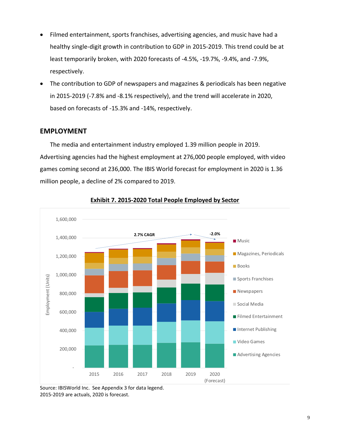- Filmed entertainment, sports franchises, advertising agencies, and music have had a healthy single-digit growth in contribution to GDP in 2015-2019. This trend could be at least temporarily broken, with 2020 forecasts of -4.5%, -19.7%, -9.4%, and -7.9%, respectively.
- The contribution to GDP of newspapers and magazines & periodicals has been negative in 2015-2019 (-7.8% and -8.1% respectively), and the trend will accelerate in 2020, based on forecasts of -15.3% and -14%, respectively.

## **EMPLOYMENT**

The media and entertainment industry employed 1.39 million people in 2019. Advertising agencies had the highest employment at 276,000 people employed, with video games coming second at 236,000. The IBIS World forecast for employment in 2020 is 1.36 million people, a decline of 2% compared to 2019.



**Exhibit 7. 2015-2020 Total People Employed by Sector**

Source: IBISWorld Inc. See Appendix 3 for data legend. 2015-2019 are actuals, 2020 is forecast.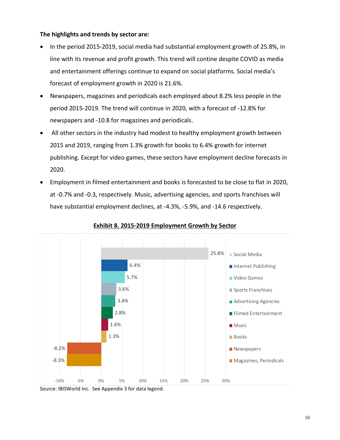## **The highlights and trends by sector are:**

- In the period 2015-2019, social media had substantial employment growth of 25.8%, in line with its revenue and profit growth. This trend will contine despite COVID as media and entertainment offerings continue to expand on social platforms. Social media's forecast of employment growth in 2020 is 21.6%.
- Newspapers, magazines and periodicals each employed about 8.2% less people in the period 2015-2019. The trend will continue in 2020, with a forecast of -12.8% for newspapers and -10.8 for magazines and periodicals.
- All other sectors in the industry had modest to healthy employment growth between 2015 and 2019, ranging from 1.3% growth for books to 6.4% growth for internet publishing. Except for video games, these sectors have employment decline forecasts in 2020.
- Employment in filmed entertainment and books is forecasted to be close to flat in 2020, at -0.7% and -0.3, respectively. Music, advertising agencies, and sports franchises will have substantial employment declines, at -4.3%, -5.9%, and -14.6 respectively.



#### **Exhibit 8. 2015-2019 Employment Growth by Sector**

Source: IBISWorld Inc. See Appendix 3 for data legend.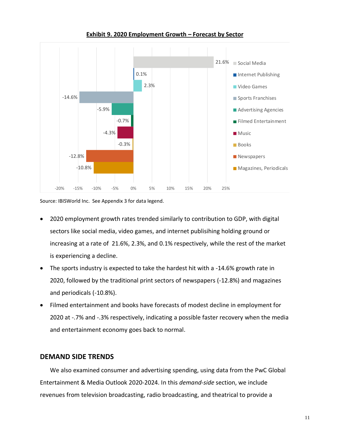

**Exhibit 9. 2020 Employment Growth – Forecast by Sector**

Source: IBISWorld Inc. See Appendix 3 for data legend.

- 2020 employment growth rates trended similarly to contribution to GDP, with digital sectors like social media, video games, and internet publisihing holding ground or increasing at a rate of 21.6%, 2.3%, and 0.1% respectively, while the rest of the market is experiencing a decline.
- The sports industry is expected to take the hardest hit with a -14.6% growth rate in 2020, followed by the traditional print sectors of newspapers (-12.8%) and magazines and periodicals (-10.8%).
- Filmed entertainment and books have forecasts of modest decline in employment for 2020 at -.7% and -.3% respectively, indicating a possible faster recovery when the media and entertainment economy goes back to normal.

## **DEMAND SIDE TRENDS**

We also examined consumer and advertising spending, using data from the PwC Global Entertainment & Media Outlook 2020-2024. In this *demand-side* section, we include revenues from television broadcasting, radio broadcasting, and theatrical to provide a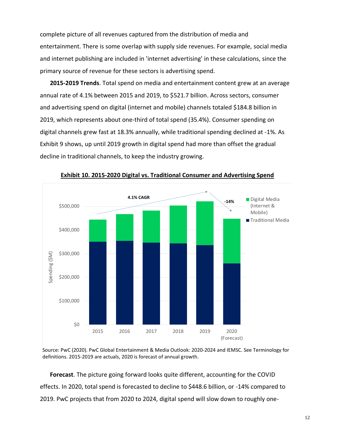complete picture of all revenues captured from the distribution of media and entertainment. There is some overlap with supply side revenues. For example, social media and internet publishing are included in 'internet advertising' in these calculations, since the primary source of revenue for these sectors is advertising spend.

**2015-2019 Trends**. Total spend on media and entertainment content grew at an average annual rate of 4.1% between 2015 and 2019, to \$521.7 billion. Across sectors, consumer and advertising spend on digital (internet and mobile) channels totaled \$184.8 billion in 2019, which represents about one-third of total spend (35.4%). Consumer spending on digital channels grew fast at 18.3% annually, while traditional spending declined at -1%. As Exhibit 9 shows, up until 2019 growth in digital spend had more than offset the gradual decline in traditional channels, to keep the industry growing.



**Exhibit 10. 2015-2020 Digital vs. Traditional Consumer and Advertising Spend**

Source: PwC (2020). PwC Global Entertainment & Media Outlook: 2020-2024 and IEMSC. See Terminology for definitions. 2015-2019 are actuals, 2020 is forecast of annual growth.

**Forecast**. The picture going forward looks quite different, accounting for the COVID effects. In 2020, total spend is forecasted to decline to \$448.6 billion, or -14% compared to 2019. PwC projects that from 2020 to 2024, digital spend will slow down to roughly one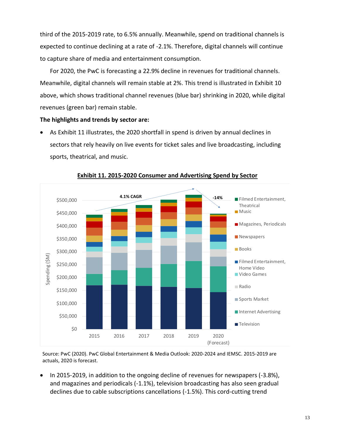third of the 2015-2019 rate, to 6.5% annually. Meanwhile, spend on traditional channels is expected to continue declining at a rate of -2.1%. Therefore, digital channels will continue to capture share of media and entertainment consumption.

For 2020, the PwC is forecasting a 22.9% decline in revenues for traditional channels. Meanwhile, digital channels will remain stable at 2%. This trend is illustrated in Exhibit 10 above, which shows traditional channel revenues (blue bar) shrinking in 2020, while digital revenues (green bar) remain stable.

#### **The highlights and trends by sector are:**

• As Exhibit 11 illustrates, the 2020 shortfall in spend is driven by annual declines in sectors that rely heavily on live events for ticket sales and live broadcasting, including sports, theatrical, and music.



**Exhibit 11. 2015-2020 Consumer and Advertising Spend by Sector**

Source: PwC (2020). PwC Global Entertainment & Media Outlook: 2020-2024 and IEMSC. 2015-2019 are actuals, 2020 is forecast.

• In 2015-2019, in addition to the ongoing decline of revenues for newspapers (-3.8%), and magazines and periodicals (-1.1%), television broadcasting has also seen gradual declines due to cable subscriptions cancellations (-1.5%). This cord-cutting trend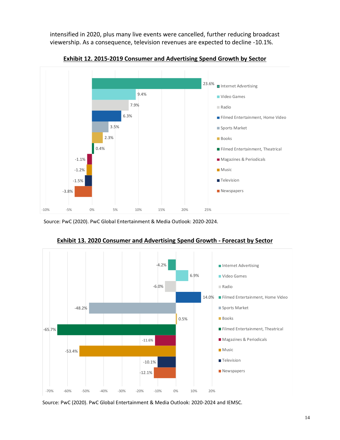intensified in 2020, plus many live events were cancelled, further reducing broadcast viewership. As a consequence, television revenues are expected to decline -10.1%.



**Exhibit 12. 2015-2019 Consumer and Advertising Spend Growth by Sector**

Source: PwC (2020). PwC Global Entertainment & Media Outlook: 2020-2024.



**Exhibit 13. 2020 Consumer and Advertising Spend Growth - Forecast by Sector**

Source: PwC (2020). PwC Global Entertainment & Media Outlook: 2020-2024 and IEMSC.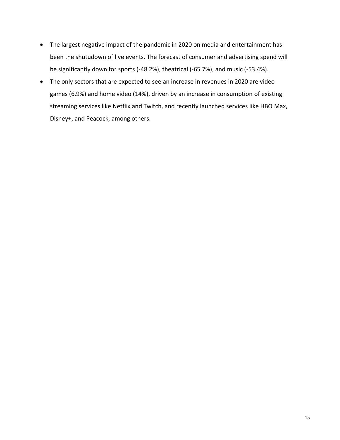- The largest negative impact of the pandemic in 2020 on media and entertainment has been the shutudown of live events. The forecast of consumer and advertising spend will be significantly down for sports (-48.2%), theatrical (-65.7%), and music (-53.4%).
- The only sectors that are expected to see an increase in revenues in 2020 are video games (6.9%) and home video (14%), driven by an increase in consumption of existing streaming services like Netflix and Twitch, and recently launched services like HBO Max, Disney+, and Peacock, among others.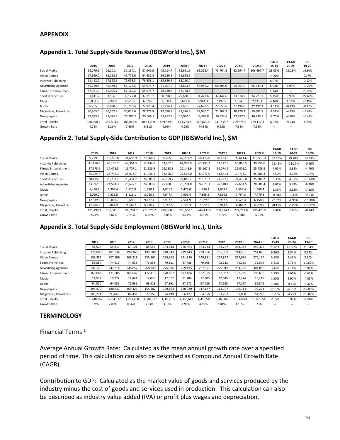#### **APPENDIX**

### **Appendix 1. Total Supply-Side Revenue (IBISWorld Inc.), \$M**

|                             |           |           |           |           |           |           |           |           |           |           | <b>CAGR</b>              | <b>CAGR</b>              | GR        |
|-----------------------------|-----------|-----------|-----------|-----------|-----------|-----------|-----------|-----------|-----------|-----------|--------------------------|--------------------------|-----------|
|                             | 2015      | 2016      | 2017      | 2018      | 2019      | 2020 F    | 2021 F    | 2022 F    | 2023 F    | 2024 F    | 15-19                    | 20-24                    | 19-20     |
| Social Media                | 16.779.9  | 23.101.4  | 30.184.1  | 37.549.5  | 45.114.7  | 52,691.9  | 61.362.4  | 73,764.2  | 88,594.7  | 106,497.7 | 28.05%                   | 19.23%                   | 16.80%    |
| Video Games                 | 27,999.0  | 38,292.5  | 45.775.6  | 54,431.8  | 56,526.2  | 56,623.5  |           |           |           |           | 19.20%                   | $\sim$                   | 0.17%     |
| Internet Publishing         | 61,492.2  | 67,323.5  | 71,053.3  | 76,538.1  | 83.886.5  | 82,110.7  |           |           |           |           | 8.07%                    | $\overline{\phantom{m}}$ | $-2.12%$  |
| <b>Advertising Agencies</b> | 46,730.6  | 49,439.1  | 54,125.5  | 59,676.7  | 61,107.9  | 54,863.5  | 56,956.2  | 60,208.0  | 64.067.9  | 66,549.4  | 6.94%                    | 4.95%                    | $-10.22%$ |
| <b>Filmed Entertainment</b> | 47,971.9  | 50,005.7  | 52,169.2  | 55,078.7  | 58,620.2  | 57,728.8  |           |           |           |           | 5.14%                    | $\overline{\phantom{m}}$ | $-1.52%$  |
| Sports Franchises           | 31,411.2  | 33.506.5  | 36,127.0  | 37,115.1  | 38,398.3  | 29,690.8  | 31.429.6  | 32,441.6  | 33,616.9  | 34,723.1  | 5.15%                    | 3.99%                    | $-22.68%$ |
| Music                       | 6,051.7   | 6,218.0   | 6,529.5   | 6,976.6   | 7,150.4   | 6,617.8   | 6.984.3   | 7,197.5   | 7,354.6   | 7,491.4   | 4.26%                    | 3.15%                    | $-7.45%$  |
| Books                       | 30,265.3  | 30,028.8  | 29,793.4  | 27,925.4  | 27,794.1  | 27,691.3  | 27,627.5  | 27,550.6  | 27,494.0  | 27,437.3  | $-2.11%$                 | $-0.23%$                 | $-0.37%$  |
| Magazines, Periodicals      | 30,963.0  | 30,562.4  | 30,019.6  | 28,276.9  | 27,058.8  | 23,316.4  | 22,930.7  | 21,902.2  | 20,770.2  | 19,682.5  | $-3.31%$                 | $-4.15%$                 | $-13.83%$ |
| Newspapers                  | 29,033.9  | 27,326.2  | 27,286.2  | 25,568.1  | 23,882.8  | 19,950.1  | 19,588.8  | 18,674.6  | 17,677.3  | 16,735.9  | $-4.77%$                 | $-4.30%$                 | $-16.47%$ |
| Total (Check)               | 328,698.7 | 355,804.1 | 383,063.4 | 409,136.9 | 429,539.9 | 411,284.8 | 226,879.5 | 241,738.7 | 259,575.6 | 279,117.3 | 6.92%                    | $-9.24%$                 | $-4.25%$  |
| Growth Rate                 | 4.75%     | 8.25%     | 7.66%     | 6.81%     | 4.99%     | $-4.25%$  | $-44.84%$ | 6.55%     | 7.38%     | 7.53%     | $\overline{\phantom{a}}$ | $\overline{\phantom{a}}$ |           |

## **Appendix 2. Total Supply-Side Contribution to GDP (IBISWorld Inc.), \$M**

|                             |           |           |           |           |           |           |           |           |           |           | <b>CAGR</b> | <b>CAGR</b>              | GR        |
|-----------------------------|-----------|-----------|-----------|-----------|-----------|-----------|-----------|-----------|-----------|-----------|-------------|--------------------------|-----------|
|                             | 2015      | 2016      | 2017      | 2018      | 2019      | 2020 F    | 2021 F    | 2022 F    | 2023 F    | 2024 F    | 15-19       | 20-24                    | 19-20     |
| Social Media                | 9,779.3   | 15,225.8  | 21,688.9  | 27,868.5  | 30,865.9  | 42,237.9  | 54.476.0  | 70,623.3  | 92,661.6  | 119,519.3 | 33.29%      | 29.70%                   | 36.84%    |
| Internet Publishing         | 41,156.3  | 46.176.7  | 49,364.3  | 52.434.6  | 63,407.8  | 62,988.9  | 62.793.3  | 59,122.8  | 50.868.5  | 39,050.6  | 11.41%      | $-11.27%$                | $-0.66%$  |
| <b>Filmed Entertainment</b> | 17,678.6  | 17.478.5  | 19.707.1  | 21,926.5  | 23,183.3  | 22,148.9  | 23.167.3  | 24,074.5  | 25,005.2  | 25,789.8  | 7.01%       | 3.88%                    | $-4.46%$  |
| Video Games                 | 25,224.6  | 28.742.3  | 28,913.7  | 31,046.1  | 32,456.2  | 32,516.0  | 33.076.0  | 33,871.1  | 34,718.1  | 35,586.3  | 6.50%       | 2.28%                    | 0.18%     |
| Sports Franchises           | 20,415.0  | 23,232.2  | 25,494.2  | 25,305.1  | 26,159.2  | 21,010.2  | 21,975.2  | 23,727.2  | 24,435.8  | 25,080.2  | 6.39%       | 4.53%                    | $-19.68%$ |
| <b>Advertising Agencies</b> | 23,092.3  | 24,584.3  | 23,677.1  | 24,983.6  | 25,608.3  | 23,204.0  | 24,871.1  | 26,140.4  | 27,654.5  | 28,681.4  | 2.62%       | 5.44%                    | $-9.39%$  |
| Music                       | 1,456.9   | 1,393.4   | 1,520.0   | 1,550.1   | 1,601.2   | 1.475.0   | 1,556.1   | 1,603.3   | 1.639.4   | 1,668.4   | 2.39%       | 3.13%                    | $-7.88%$  |
| Books                       | 8,069.0   | 7,835.5   | 8,111.1   | 8,060.2   | 7,947.4   | 7,905.4   | 7,866.5   | 7,824.5   | 7,794.3   | 7,779.3   | $-0.38%$    | $-0.40%$                 | $-0.53%$  |
| Newspapers                  | 12,339.5  | 10.807.7  | 10.688.1  | 9,477.4   | 8,907.5   | 7,544.9   | 7,329.6   | 6,932.8   | 6,528.4   | 6,158.9   | $-7.82%$    | $-4.95%$                 | $-15.30%$ |
| Magazines, Periodicals      | 12,284.8  | 9,864.9   | 9,540.2   | 9,176.1   | 8,743.5   | 7,521.9   | 7,322.4   | 6,914.5   | 6,486.2   | 6,109.7   | $-8.15%$    | $-5.07%$                 | $-13.97%$ |
| Total (Check)               | 171,496.3 | 185,341.3 | 198,704.7 | 211,828.2 | 228,880.3 | 228,553.1 | 244,433.5 | 260,834.4 | 277,792.0 | 295,423.9 | 7.48%       | 6.63%                    | $-0.14%$  |
| Growth Rate                 | 2.24%     | 8.07%     | 7.21%     | 6.60%     | 8.05%     | $-0.14%$  | 6.95%     | 6.71%     | 6.50%     | 6.35%     | --          | $\overline{\phantom{a}}$ |           |
|                             |           |           |           |           |           |           |           |           |           |           |             |                          |           |

#### **Appendix 3. Total Supply-Side Employment (IBISWorld Inc.), Units**

|           |          |           |           |           |           |           |           |           |           | <b>CAGR</b>              | <b>CAGR</b>              | GR        |
|-----------|----------|-----------|-----------|-----------|-----------|-----------|-----------|-----------|-----------|--------------------------|--------------------------|-----------|
| 2015      | 2016     | 2017      | 2018      | 2019      | 2020 F    | 2021 F    | 2022      | 2023 F    | 2024 F    | 15-19                    | 20-24                    | 19-20     |
| 41,525    | 54,835   | 69,101    | 84,544    | 104,044   | 126,563   | 153,734   | 183,277   | 214,343   | 248,372   | 25.81%                   | 18.36%                   | 21.64%    |
| 171,000   | 181,834  | 190,369   | 199,608   | 218,843   | 219,143   | 229,866   | 236,309   | 244,505   | 251,875   | 6.36%                    | 3.54%                    | 0.14%     |
| 189,381   | 207,196  | 208,218   | 225,861   | 235,962   | 241,389   | 249,151   | 257,847   | 267,086   | 276,154   | 5.65%                    | 3.42%                    | 2.30%     |
| 68,884    | 74,919   | 74,633    | 76,858    | 79,381    | 67,788    | 70,568    | 72,232    | 74,053    | 75,594    | 3.61%                    | 2.76%                    | $-14.60%$ |
| 241,173   | 247.814  | 248,852   | 268.749   | 275,876   | 259,495   | 267,851   | 279,918   | 294,368   | 304,856   | 3.42%                    | 4.11%                    | $-5.94%$  |
| 160,068   | 171,585  | 165,047   | 172,413   | 178,667   | 177,466   | 182,965   | 187,937   | 192,739   | 196,696   | 2.79%                    | 2.61%                    | $-0.67%$  |
| 11,537    | 10,777   | 11.441    | 12,035    | 12,317    | 11,784    | 12,305    | 12,645    | 12,924    | 13,211    | 1.65%                    | 2.90%                    | $-4.33%$  |
| 64,520    | 64,085   | 71,935    | 68.418    | 67,891    | 67.672    | 67.426    | 67,195    | 67,027    | 66,843    | 1.28%                    | $-0.31%$                 | $-0.32%$  |
| 194.870   | 180.637  | 169,421   | 154.482   | 138,664   | 120.920   | 117,127   | 111,197   | 105,111   | 99,273    | $-8.16%$                 | $-4.81%$                 | $-12.80%$ |
| 105,294   | 90,640   | 82,451    | 77,959    | 74,490    | 66,427    | 64,555    | 61,292    | 57,888    | 54,780    | $-8.29%$                 | $-4.71%$                 | $-10.82%$ |
| 1,248,252 | ,284,322 | 1,291,468 | 1,340,927 | 1,386,135 | 1,358,647 | 1,415,548 | 1,469,849 | 1,530,044 | 1,587,654 | 2.65%                    | 3.97%                    | $-1.98%$  |
| 0.71%     | 2.89%    | 0.56%     | 3.83%     | 3.37%     | $-1.98%$  | 4.19%     | 3.84%     | 4.10%     | 3.77%     | $\overline{\phantom{a}}$ | $\overline{\phantom{a}}$ |           |
|           |          |           |           |           |           |           |           |           |           |                          |                          |           |

#### **TERMINOLOGY**

#### Financial Terms <sup>1</sup>

Average Annual Growth Rate: Calculated as the mean annual growth rate over a specified period of time. This calculation can also be described as Compound Annual Growth Rate (CAGR).

Contribution to GDP: Calculated as the market value of goods and services produced by the industry minus the cost of goods and services used in production. This calculation can also be described as industry value added (IVA) or profit plus wages and depreciation.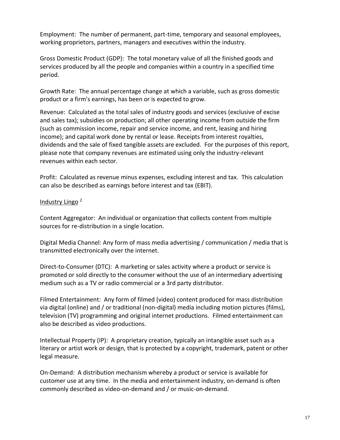Employment: The number of permanent, part-time, temporary and seasonal employees, working proprietors, partners, managers and executives within the industry.

Gross Domestic Product (GDP): The total monetary value of all the finished goods and services produced by all the people and companies within a country in a specified time period.

Growth Rate: The annual percentage change at which a variable, such as gross domestic product or a firm's earnings, has been or is expected to grow.

Revenue: Calculated as the total sales of industry goods and services (exclusive of excise and sales tax); subsidies on production; all other operating income from outside the firm (such as commission income, repair and service income, and rent, leasing and hiring income); and capital work done by rental or lease. Receipts from interest royalties, dividends and the sale of fixed tangible assets are excluded. For the purposes of this report, please note that company revenues are estimated using only the industry-relevant revenues within each sector.

Profit: Calculated as revenue minus expenses, excluding interest and tax. This calculation can also be described as earnings before interest and tax (EBIT).

## Industry Lingo <sup>2</sup>

Content Aggregator: An individual or organization that collects content from multiple sources for re-distribution in a single location.

Digital Media Channel: Any form of mass media advertising / communication / media that is transmitted electronically over the internet.

Direct-to-Consumer (DTC): A marketing or sales activity where a product or service is promoted or sold directly to the consumer without the use of an intermediary advertising medium such as a TV or radio commercial or a 3rd party distributor.

Filmed Entertainment: Any form of filmed (video) content produced for mass distribution via digital (online) and / or traditional (non-digital) media including motion pictures (films), television (TV) programming and original internet productions. Filmed entertainment can also be described as video productions.

Intellectual Property (IP): A proprietary creation, typically an intangible asset such as a literary or artist work or design, that is protected by a copyright, trademark, patent or other legal measure.

On-Demand: A distribution mechanism whereby a product or service is available for customer use at any time. In the media and entertainment industry, on-demand is often commonly described as video-on-demand and / or music-on-demand.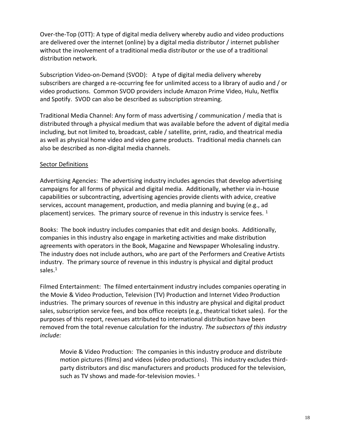Over-the-Top (OTT): A type of digital media delivery whereby audio and video productions are delivered over the internet (online) by a digital media distributor / internet publisher without the involvement of a traditional media distributor or the use of a traditional distribution network.

Subscription Video-on-Demand (SVOD): A type of digital media delivery whereby subscribers are charged a re-occurring fee for unlimited access to a library of audio and / or video productions. Common SVOD providers include Amazon Prime Video, Hulu, Netflix and Spotify. SVOD can also be described as subscription streaming.

Traditional Media Channel: Any form of mass advertising / communication / media that is distributed through a physical medium that was available before the advent of digital media including, but not limited to, broadcast, cable / satellite, print, radio, and theatrical media as well as physical home video and video game products. Traditional media channels can also be described as non-digital media channels.

## **Sector Definitions**

Advertising Agencies: The advertising industry includes agencies that develop advertising campaigns for all forms of physical and digital media. Additionally, whether via in-house capabilities or subcontracting, advertising agencies provide clients with advice, creative services, account management, production, and media planning and buying (e.g., ad placement) services. The primary source of revenue in this industry is service fees.  $1$ 

Books: The book industry includes companies that edit and design books. Additionally, companies in this industry also engage in marketing activities and make distribution agreements with operators in the Book, Magazine and Newspaper Wholesaling industry. The industry does not include authors, who are part of the Performers and Creative Artists industry. The primary source of revenue in this industry is physical and digital product sales. $1$ 

Filmed Entertainment: The filmed entertainment industry includes companies operating in the Movie & Video Production, Television (TV) Production and Internet Video Production industries. The primary sources of revenue in this industry are physical and digital product sales, subscription service fees, and box office receipts (e.g., theatrical ticket sales). For the purposes of this report, revenues attributed to international distribution have been removed from the total revenue calculation for the industry. *The subsectors of this industry include:* 

Movie & Video Production: The companies in this industry produce and distribute motion pictures (films) and videos (video productions). This industry excludes thirdparty distributors and disc manufacturers and products produced for the television, such as TV shows and made-for-television movies.  $1$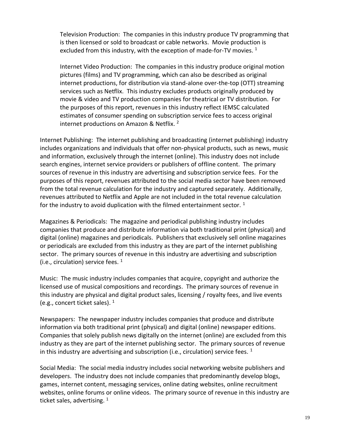Television Production: The companies in this industry produce TV programming that is then licensed or sold to broadcast or cable networks. Movie production is excluded from this industry, with the exception of made-for-TV movies.  $1$ 

Internet Video Production: The companies in this industry produce original motion pictures (films) and TV programming, which can also be described as original internet productions, for distribution via stand-alone over-the-top (OTT) streaming services such as Netflix. This industry excludes products originally produced by movie & video and TV production companies for theatrical or TV distribution. For the purposes of this report, revenues in this industry reflect IEMSC calculated estimates of consumer spending on subscription service fees to access original internet productions on Amazon & Netflix.<sup>2</sup>

Internet Publishing: The internet publishing and broadcasting (internet publishing) industry includes organizations and individuals that offer non-physical products, such as news, music and information, exclusively through the internet (online). This industry does not include search engines, internet service providers or publishers of offline content. The primary sources of revenue in this industry are advertising and subscription service fees. For the purposes of this report, revenues attributed to the social media sector have been removed from the total revenue calculation for the industry and captured separately. Additionally, revenues attributed to Netflix and Apple are not included in the total revenue calculation for the industry to avoid duplication with the filmed entertainment sector.  $1$ 

Magazines & Periodicals: The magazine and periodical publishing industry includes companies that produce and distribute information via both traditional print (physical) and digital (online) magazines and periodicals. Publishers that exclusively sell online magazines or periodicals are excluded from this industry as they are part of the internet publishing sector. The primary sources of revenue in this industry are advertising and subscription (i.e., circulation) service fees.  $1$ 

Music: The music industry includes companies that acquire, copyright and authorize the licensed use of musical compositions and recordings. The primary sources of revenue in this industry are physical and digital product sales, licensing / royalty fees, and live events (e.g., concert ticket sales).  $1$ 

Newspapers: The newspaper industry includes companies that produce and distribute information via both traditional print (physical) and digital (online) newspaper editions. Companies that solely publish news digitally on the internet (online) are excluded from this industry as they are part of the internet publishing sector. The primary sources of revenue in this industry are advertising and subscription (i.e., circulation) service fees.  $1$ 

Social Media: The social media industry includes social networking website publishers and developers. The industry does not include companies that predominantly develop blogs, games, internet content, messaging services, online dating websites, online recruitment websites, online forums or online videos. The primary source of revenue in this industry are ticket sales, advertising.  $^1$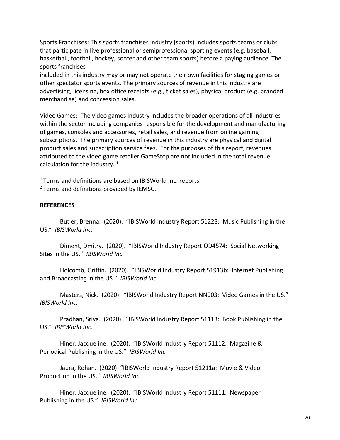Sports Franchises: This sports franchises industry (sports) includes sports teams or clubs that participate in live professional or semiprofessional sporting events (e.g. baseball, basketball, football, hockey, soccer and other team sports) before a paying audience. The sports franchises

included in this industry may or may not operate their own facilities for staging games or other spectator sports events. The primary sources of revenue in this industry are advertising, licensing, box office receipts (e.g., ticket sales), physical product (e.g. branded merchandise) and concession sales.  $^1$ 

Video Games: The video games industry includes the broader operations of all industries within the sector including companies responsible for the development and manufacturing of games, consoles and accessories, retail sales, and revenue from online gaming subscriptions. The primary sources of revenue in this industry are physical and digital product sales and subscription service fees. For the purposes of this report, revenues attributed to the video game retailer GameStop are not included in the total revenue calculation for the industry.  $1$ 

<sup>1</sup> Terms and definitions are based on IBISWorld Inc. reports. <sup>2</sup> Terms and definitions provided by IEMSC.

### **REFERENCES**

Butler, Brenna. (2020). "IBISWorld Industry Report 51223: Music Publishing in the US." *IBISWorld Inc.*

Diment, Dmitry. (2020). "IBISWorld Industry Report OD4574: Social Networking Sites in the US." *IBISWorld Inc.*

Holcomb, Griffin. (2020). "IBISWorld Industry Report 51913b: Internet Publishing and Broadcasting in the US." *IBISWorld Inc.*

Masters, Nick. (2020). "IBISWorld Industry Report NN003: Video Games in the US." *IBISWorld Inc.*

Pradhan, Sriya. (2020). "IBISWorld Industry Report 51113: Book Publishing in the US." *IBISWorld Inc.*

Hiner, Jacqueline. (2020). "IBISWorld Industry Report 51112: Magazine & Periodical Publishing in the US." *IBISWorld Inc.*

Jaura, Rohan. (2020). "IBISWorld Industry Report 51211a: Movie & Video Production in the US." *IBISWorld Inc.*

Hiner, Jacqueline. (2020). "IBISWorld Industry Report 51111: Newspaper Publishing in the US." *IBISWorld Inc.*